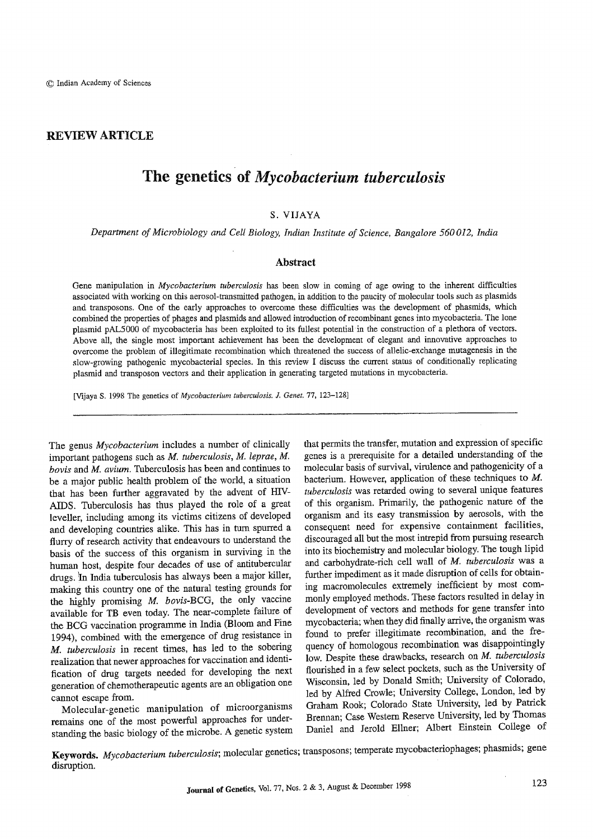## REVIEW ARTICLE

# **The genetics of** *Mycobacterium tuberculosis*

# S. VIJAYA

*Department of Microbiology and Cell Biology, Indian Institute of Science, Bangalore 560 012, India* 

#### **Abstract**

Gene manipulation in *Mycobacterium tuberculosis* has been slow in coming of age owing to the inherent difficulties associated with working on this aerosol-transmitted pathogen, in addition to the paucity of molecular tools such as plasmids and transposons. One of the early approaches to overcome these difficulties was the development of phasmids, which combined the properties of phages and plasmids and allowed introduction of recombinant genes into mycobacteria. The lone plasmid pAL5000 of mycobacteria has been exploited to its fullest potential in the construction of a plethora of vectors. Above all, the single most important achievement has been the development of elegant and innovative approaches to overcome the problem of illegitimate recombination which threatened the success of allelic-exchange mutagenesis in the slow-growing pathogenic mycobacterial species. In this review I discuss the current status of conditionally replicating plasmid and transposon vectors and their application in generating targeted mutations in mycobacteria.

[Vijaya S. 1998 The genetics of *Mycobacterium tuberculosis, J. Genet.* 77, 123-128]

The genus *Mycobacterium* includes a number of clinically important pathogens such as *M. tuberculosis, M. leprae, M. boris* and *M. avium.* Tuberculosis has been and continues to be a major public health problem of the world, a situation that has been further aggravated by the advent of HIV-AIDS. Tuberculosis has thus played the role of a great leveller, including among its victims citizens of developed and developing countries alike. This has in turn spurred a flurry of research activity that endeavours to understand the basis of the success of this organism in surviving in the human host, despite four decades of use of antitubercular drugs. In India tuberculosis has always been a major killer, making this country one of the natural testing grounds for the highly promising *M. bovis-BCG,* the only vaccine available for TB even today. The near-complete failure of the BCG vaccination programme in India (Bloom and Fine 1994), combined with the emergence of drug resistance in *M. tuberculosis* in recent times, has led to the sobering realization that newer approaches for vaccination and identification of drug targets needed for developing the next generation of chemotherapeutic agents are an obligation one cannot escape from.

Molecular-genetic manipulation of microorganisms remains one of the most powerful approaches for understanding the basic biology of the microbe. A genetic system

that permits the transfer, mutation and expression of specific genes is a prerequisite for a detailed understanding of the molecular basis of survival, virulence and pathogenicity of a bacterium. However, application of these techniques to M. *tuberculosis* was retarded owing to several unique features of this organism. Primarily, the pathogenic nature of the organism and its easy transmission by aerosols, with the consequent need for expensive containment facilities, discouraged all but the most intrepid from pursuing research into its biochemistry and molecular biology. The tough lipid and carbohydrate-rich cell wall of *M. tuberculosis* was a further impediment as it made disruption of ceils for obtaining macromolecules extremely inefficient by most commonly employed methods. These factors resulted in delay in development of vectors and methods for gene transfer into mycobacteria; when they did finally arrive, the organism was found to prefer illegitimate recombination, and the frequency of homologous recombination was disappointingly low. Despite these drawbacks, research on *M. tuberculosis*  flourished in a few select pockets, such as the University of Wisconsin, led by Donald Smith; University of Colorado, led by Alfred Crowle; University College, London, led by Graham Rook; Colorado State University, led by Patrick Brennan; Case Western Reserve University, led by Thomas Daniel and Jerold Ellner; Albert Einstein College of

Keywords. *Mycobacterium tuberculosis;* molecular genetics; transposons; temperate mycobacteriophages; phasmids; gene disruption.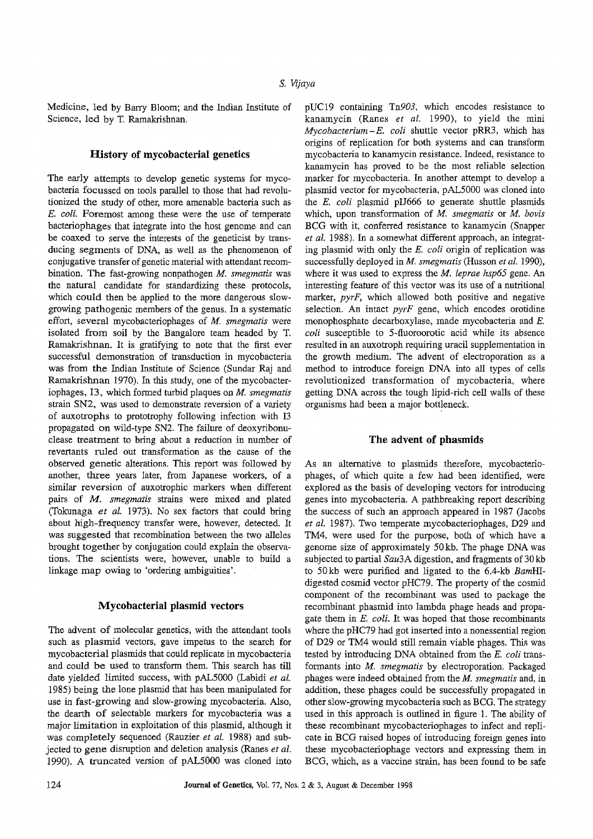Medicine, led by Barry Bloom; and the Indian Institute of Science, led by T. Ramakrishnan.

## **History of mycobacterial genetics**

The early attempts to develop genetic systems for mycobacteria focussed on tools parallel to those that had revolutionized the study of other, more amenable bacteria such as *E. coll.* Foremost among these were the use of temperate bacteriophages that integrate into the host genome and can be coaxed to serve the interests of the geneticist by transducing segments of DNA, as well as the phenomenon of conjugative transfer of genetic material with attendant recombination. The fast-growing nonpathogen *M. smegrnatis* was the natural candidate for standardizing these protocols, which could then be applied to the more dangerous slowgrowing pathogenic members of the genus. In a systematic effort, several mycobacteriophages of *M. smegmatis* were isolated from soil by the Bangalore team headed by T. Ramakrishnan. It is gratifying to note that the first ever successful demonstration of transduction in mycobacteria was from the Indian Institute of Science (Sundar Raj and Ramakrishnan 1970). In this study, one of the mycobacteriophages, I3, which formed turbid plaques on *M. smegmatis*  strain SN2, was used to demonstrate reversion of a variety of auxotrophs to prototrophy following infection with I3 propagated on wild-type SN2. The failure of deoxyribonuclease treatment to bring about a reduction in number of revertants ruled out transformation as the cause of the observed genetic alterations. This report was followed by another, three years later, from Japanese workers, of a similar reversion of anxotrophic markers when different pairs of *M. smegmatis* strains were mixed and plated (Tokunaga *et al.* 1973). No sex factors that could bring about high-frequency transfer were, however, detected. It was suggested that recombination between the two alleles brought together by conjugation could explain the observations. The scientists were, however, unable to build a linkage map owing to 'ordering ambiguities'.

# **Mycobaeterial plasmid vectors**

The advent of molecular genetics, with the attendant tools such as plasmid vectors, gave impetus to the search for mycobacterial plasmids that could replicate in mycobacteria and could be used to transform them. This search has till date yielded limited success, with pAL5000 (Labidi *et al.*  1985) being the lone plasmid that has been manipulated for use in fast-growing and slow-growing mycobacteria. Also, the dearth of selectable markers for mycobacteria was a major limitation in exploitation of this plasmid, although it was completely sequenced (Rauzier *et aI.* 1988) and subjected to gene disruption and deletion analysis (Ranes *et al.*  1990). A truncated version of pALS000 was cloned into

pUC19 containing *Tn903,* which encodes resistance to kanamycin (Ranes *et al.* 1990), to yield the mini *Mycobacterium-E. coIi* shuttle vector pRR3, which has origins of replication for both systems and can transform mycobacteria to kanamycin resistance. Indeed, resistance to kanamycin has proved to be the most reliable selection marker for mycobacteria. In another attempt to develop a plasmid vector for mycobacteria, pAL5000 was cloned into the *E. coli* plasmid pIJ666 to generate shuttle plasrnids which, upon transformation of *M. smegmatis* or *M. boris*  BCG with it, conferred resistance to kanamycin (Snapper *et al.* 1988). In a somewhat different approach, an integrating plasmid with only the *E. coli* origin of replication was successfully deployed in *M. smegmatis* (Husson *et al.* 1990), where it was used to express the *M. leprae hsp65* gene. An interesting feature of this vector was its use of a nutritional marker, *pyrF,* which allowed both positive and negative selection. An intact *pyrF* gene, which encodes orotidine monophosphate decarboxylase, made mycobacteria and E. *coli* susceptible to 5-fluoroorotic acid while its absence resulted in an auxotroph requiring uracil supplementation in the growth medium. The advent of electroporation as a method to introduce foreign DNA into all types of cells revolutionized transformation of mycobacteria, where getting DNA across the tough lipid-rich cell walls of these organisms had been a major bottleneck.

### **The advent of phasmids**

As an alternative to plasmids therefore, mycobacteriophages, of which quite a few had been identified, were explored as the basis of developing vectors for introducing genes into mycobacteria. A pathbreaking report describing the success of such an approach appeared in 1987 (Jacobs *et aL* 1987). Two temperate mycobacteriophages, D29 and TM4, were used for the purpose, both of which have a genome size of approximately 50 kb. The phage DNA was subjected to partial *Sau3A* digestion, and fragments of 30 kb to 50 kb were purified and ligated to the 6.4-kb *BamHI*digested cosmid vector pHC79. The property of the cosmid component of the recombinant was used to package the recombinant phasmid into lambda phage heads and propagate them in *E. coli.* It was hoped that those recombinants where the pHC79 had got inserted into a nonessential region of D29 or TM4 would still remain viable phages. This was tested by introducing DNA obtained from the *E. coli* transformants into *M. smegmatis* by electroporation. Packaged phages were indeed obtained from the *M. smegmatis* and, in addition, these phages could be successfully propagated in other slow-growing mycobacteria such as BCG. The strategy used in this approach is outlined in figure 1. The ability of these recombinant mycobacteriophages to infect and replicate in BCG raised hopes of introducing foreign genes into these mycobacteriophage vectors and expressing them in BCG, which, as a vaccine strain, has been found to be safe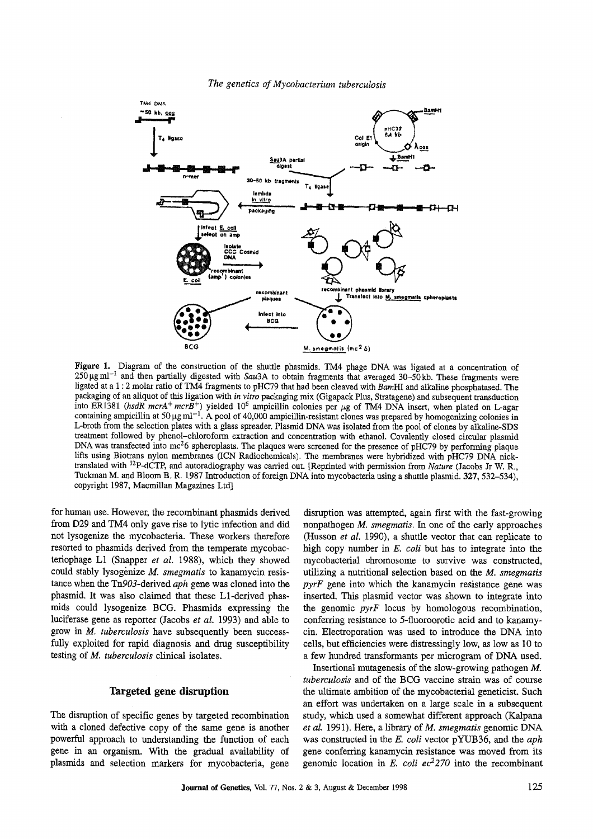

*The genetics of Mycobacterium tuberculosis* 

**Figure** 1. Diagram of the construction of the shuttle phasmids. TM4 phage DNA was ligated at a concentration of 250 µgml<sup>-1</sup> and then partially digested with *Sau3A* to obtain fragments that averaged 30-50kb. These fragments were ligated at a 1 : 2 molar ratio of TM4 fragments to pHC79 that had been cleaved with *BamHI* and alkaline phosphatased. The packaging of an aliquot of this ligation with *in vitro* packaging mix (Gigapack Plus, Stratagene) and subsequent transduction into ER1381 *(hsdR mcrA<sup>+</sup> mcrB<sup>+</sup>)* yielded 10<sup>6</sup> ampicillin colonies per  $\mu$ g of TM4 DNA insert, when plated on L-agar containing ampicillin at  $50 \mu g \text{ ml}^{-1}$ . A pool of  $40,000$  ampicillin-resistant clones was prepared by homogenizing colonies in L-broth from the selection plates with a glass spreader. Plasmid DNA was isolated from the pool of clones by alkaline-SDS treatment followed by phenol-chloroform extraction and concentration with ethanol. Covalently closed circular plasmid DNA was transfected into mc<sup>2</sup>6 spheroplasts. The plaques were screened for the presence of pHC79 by performing plaque lifts using Biotrans nylon membranes (ICN Radioehemicals). The membranes were hybridized with pHC79 DNA nicktranslated with <sup>32</sup>P-dCTP, and autoradiography was carried out. [Reprinted with permission from *Nature* (Jacobs Jr W. R.,

Tuckman M. and Bloom B. R. 1987 Introduction of foreign DNA into mycobacteria using a shuttle plasmid. 327, 532-534),

for human use. However, the recombinant phasmids derived from D29 and TM4 only gave rise to lytic infection and did not lysogenize the mycobacteria. These workers therefore resorted to phasmids derived from the temperate mycobacteriophage L1 (Snapper *et al.* 1988), which they showed could stably lysogenize *M. smegmatis* to kanamycin resistance when the *Tn903-derived aph* gene was cloned into the phasmid. It was also claimed that these Ll-derived phasmids could lysogenize BCG. Phasmids expressing the luciferase gene as reporter (/acobs *et al.* 1993) and able to grow *in M. tuberculosis* have subsequently been successfully exploited for rapid diagnosis and drug susceptibility testing of *M. tuberculosis* clinical isolates.

copyright 1987, Macmillan Magazines Ltd]

## **Targeted gene disruption**

The disruption of specific genes by targeted recombination with a cloned defective copy of the same gene is another powerful approach to understanding the function of each gene in an organism. With the gradual availability of plasmids and selection markers for mycobacteria, gene

disruption was attempted, again first with the fast-growing nonpathogen *M. smegmatis.* In one of the early approaches (Husson *et al.* 1990), a shuttle vector that can replicate to high copy number in *E. coli* but has to integrate into the mycobacterial chromosome to survive was constructed, utilizing a nutritional selection based on *the M. smegmatis pyrF* gene into which the kanamycin resistance gene was inserted. This plasmid vector was shown to integrate into the genomic  $pyrF$  locus by homologous recombination, conferring resistance to 5-fluoroorotic acid and to kanamycin. Electroporation was used to introduce the DNA into cells, but efficiencies were distressingly low, as low as 10 to a few hundred transformants per microgram of DNA used.

Insertional mutagenesis of the slow-growing pathogen M. *tuberculosis* and of the BCG vaccine strain was of course the ultimate ambition of the mycobacterial geneticist. Such an effort was undertaken on a large scale in a subsequent study, which used a somewhat different approach (Kalpana *et al.* 1991). Here, a library of *M. smegmatis* genomic DNA was constructed in the *E. coli* vector pYUB36, and the *aph*  gene conferring kanamycin resistance was moved from its genomic location in *E. coli ec*<sup>2</sup>270 into the recombinant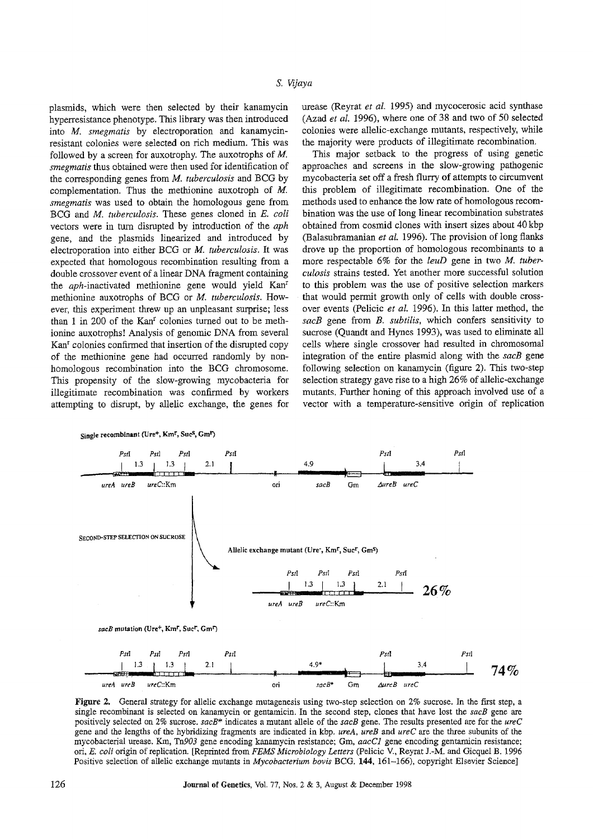plasmids, which were then selected by their kanamycin hyperresistance phenotype. This library was then introduced into *M. smegmatis* by electroporation and kanamycinresistant colonies were selected on rich medium. This was followed by a screen for auxotrophy. The auxotrophs of M. *smegmatis* thus obtained were then used for identification of the corresponding genes from *M. tuberculosis* and BCG by complementation. Thus the methionine auxotroph of  $M$ . *smegmatis* was used to obtain the homologous gene from BCG and *M. tuberculosis.* These genes cloned *in E. coli*  vectors were in turn disrupted by introduction of the *aph* gene, and the plasmids linearized and introduced by electroporation into either BCG or *M. tuberculosis.* It was expected that homologous recombination resulting from a double crossover event of a linear DNA fragment containing *the aph-inactivated* methionine gene would yield Kanr methionine auxotrophs of BCG or *M. tuberculosis.* However, this experiment threw up an unpleasant surprise; less than 1 in 200 of the  $Kan^r$  colonies turned out to be methionine auxotrophs! Analysis of genomic DNA from several Kan<sup>r</sup> colonies confirmed that insertion of the disrupted copy of the methionine gene had occurred randomly by nonhomologous recombination into the BCG chromosome. This propensity of the slow-growing mycobacteria for illegitimate recombination was confirmed by workers attempting to disrupt, by allelic exchange, the genes for urease (Reyrat *et al.* 1995) and mycocerosic acid synthase (Azad *et aI.* 1996), where one of 38 and two of 50 selected colonies were allelic-exchange mutants, respectively, while the majority were products of illegitimate recombination.

This major setback to the progress of using genetic approaches and screens in the slow-growing pathogenic mycobacteria set off a fresh flurry of attempts to circumvent this problem of illegitimate recombination. One of the methods used to enhance the low rate of homologous recombination was the use of long linear recombination substrates obtained from cosmid clones with insert sizes about 40 kbp (Balasubramanian *et al.* 1996). The provision of long flanks drove up the proportion of homologous recombinants to a more respectable 6% for the *leuD* gene in two *M. tuberculosis* strains tested. Yet another more successful solution to this problem was the use of positive selection markers that would permit growth only of cells with double crossover events (Pelicic *et al.* 1996). In this latter method, the *sacB* gene from *B. subtilis,* which confers sensitivity to sucrose (Quandt and Hynes 1993), was used to eliminate all cells where single crossover had resulted in chromosomal integration of the entire plasmid along with the *sacB* gene following selection on kanamycin (figure 2). This two-step selection strategy gave rise to a high 26% of allelic-exchange mutants. Further honing of this approach involved use of a vector with a temperature-sensitive origin of replication



Figure 2. General strategy for allelic exchange mutagenesis using two-step selection on 2% sucrose. In the first step, a single recombinant is selected on kanamycin or gentamicin. In the second step, clones that have lost the *sacB* gene axe positively selected on 2% sucrose, *sacB\** indicates a mutant allele of the *sacB* gene. The results presented are for the *ureC*  gene and the lengths of the hybridizing fragments are indicated in kbp. *ureA, ureB* and *ureC* are the three subunits of the mycobacterial urease. Kan, *Tn903* gene encoding kanamycin resistance; Gm, *aacC1* gene encoding gentamicin resistance; *ori, E. coli* origin of replication. [Reprinted from *FEMS Microbiology Letters* (Pelicic V., Reyrat J.-M. and Gicquel B. 1996 Positive selection of allelic exchange mutants in *Mycobacterium bovis* BCG. 144, 161-166), copyright Elsevier Science]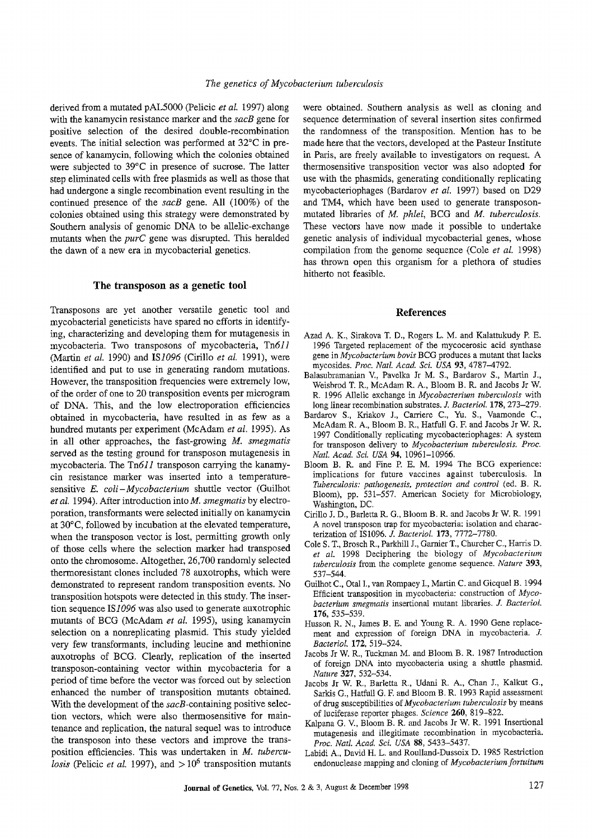derived from a mutated pAL5000 (Pelicic *et aL* 1997) along with the kanamycin resistance marker and the *sacB* gene for positive selection of the desired double-recombination events. The initial selection was performed at  $32^{\circ}$ C in presence of kanamycin, following which the colonies obtained were subjected to 39°C in presence of sucrose. The latter step eliminated cells with free plasmids as well as those that had undergone a single recombination event resulting in the continued presence of the *sacB* gene. All (100%) of the colonies obtained using this strategy were demonstrated by Southern analysis of genomic DNA to be allelic-exchange mutants when the *purC* gene was disrupted. This heralded the dawn of a new era in mycobacterial genetics.

#### **The transposon as a genetic tool**

Transposons are yet another versatile genetic tool and mycobacterial geneticists have spared no efforts in identifying, characterizing and developing them for mutagenesis in mycobacteria. Two transposons of mycobacteria, *Tn611*  (Martin *et al.* 1990) and *IS1096* (Cirillo *et aL* 1991), were identified and put to use in generating random mutations. However, the transposition frequencies were extremely low, of the order of one to 20 transposition events per microgram of DNA. This, and the low electroporation efficiencies obtained in mycobacteria, have resulted in as few as a hundred mutants per experiment (McAdam *et al.* 1995). As in all other approaches, the fast-growing *M. smegmatis*  served as the testing ground for transposon mutagenesis in mycobacteria. The *Tn611* transposon carrying the kanamycin resistance marker was inserted into a temperaturesensitive *E. coIi-Mycobacterium* shuttle vector (Guilhot *et al.* 1994). After introduction into *M. smegmatis* by electroporation, transformants were selected initially on kanamycin at  $30^{\circ}$ C, followed by incubation at the elevated temperature, when the transposon vector is lost, permitting growth only of those cells where the selection marker had transposed onto the chromosome. Altogether, 26,700 randomly selected thermoresistant clones included 78 auxotrophs, which were demonstrated to represent random transposition events. No transposition hotspots were detected in this study. The insertion sequence *IS1096* was also used to generate anxotrophic mutants of BCG (McAdam *et aL* 1995), using kanamycin selection on a nonreplicating plasmid. This study yielded very few transformants, including leucine and methionine auxotrophs of BCG. Clearly, replication of the inserted transposon-containing vector within mycobacteria for a period of time before the vector was forced out by selection enhanced the number of transposition mutants obtained. With the development of the *sacB-containing* positive selection vectors, which were also thermosensitive for maintenance and replication, the natural sequel was to introduce the transposon into these vectors and improve the transposition efficiencies. This was undertaken in *M. tuberculosis* (Pelicic *et al.* 1997), and  $>10^6$  transposition mutants were obtained. Southern analysis as well as cloning and sequence determination of several insertion sites confirmed the randomness of the transposition. Mention has to be made here that the vectors, developed at the Pasteur Institute in Paris, are freely available to investigators on request. A thermosensitive transposition vector was also adopted for use with the phasmids, generating conditionally replicating mycobacteriophages (Bardarov et al. 1997) based on D29 and TM4, which have been used to generate transposonmutated libraries of *M. phlei,* BCG and *M. tuberculosis.*  These vectors have now made it possible to undertake genetic analysis of individual mycobacterial genes, whose compilation from the genome sequence (Cole *et al.* 1998) has thrown open this organism for a plethora of studies hitherto not feasible.

#### **References**

- Azad A. K., Sirakova T. D., Rogers L. M. and Kalattukudy R E. 1996 Targeted replacement of the mycoeerosic acid synthase gene in *Mycobacterium bovis* BCG produces a mutant that lacks mycosides. *Prec. Natl. Aead. Sci. USA* 93, 4787-4792.
- Balasubramanian Y., Pavelka Jr M. S., Bardarov S., Martin J., Weisbrod T. R., McAdam R. A., Bloom B. R. and Jacobs Jr W. R. 1996 Allelic exchange in *Mycobacterium tuberculosis* with long linear recombination substrates. J. *Bacteriol.* 178, 273-279.
- Bardarov S., Kriakov J., Carriere C., Yu. S., Vaamonde C., McAdam R. A., Bloom B. R., Hatfull G. E and Jacobs Jr W. R. 1997 Conditionally replicating mycobacteriophages: A system for transposon delivery to *Mycobacterium tuberculosis. Proc. Natl. Acad. Sci. USA* 94, 10961-10966.
- Bloom B. R. and Fine P. E. M. 1994 The BCG experience: implications for future vaccines against tuberculosis. In *Tuberculosis: pathogenesis, protection and control* (ed. B. R. Bloom), pp. 531-557. American Society for Microbiology, Washington, DC.
- Cifillo J. D., Barletta R. G., Bloom B. R. and Jacobs Jr W. R. 1991 A novel transposon trap for mycobacteria: isolation and characterization of IS1096. J. *Bacteriol.* 173, 7772-7780.
- Cole S. T., Brosch R., Parkhill J., Gamier T., Churcher C., Harris D. *et al.* 1998 Deciphering the biology of *Mycobacterium tuberculosis* from the complete genome sequence. *Nature* 393, 537-544.
- Guilhot C., Otal I, van Rompaey I., Martin C. and Gicquel B. 1994 Efficient transposition in mycobacteria: construction of *Mycobacterium smegmatis* insertional mutant libraries. J. *Bacteriol.*  176, 535-539.
- Husson R. N., James B. E. and Young R. A. 1990 Gene replacement and expression of foreign DNA in mycobacteria. J. *Baeteriol.* 172, 519-524.
- Jacobs Jr W. R., Tuckrnan M. and Bloom B. R. 1987 Introduction of foreign DNA into myeobacteria using a shuttle phasmid. *Nature* 327, 532-534.
- Jacobs Jr W. R., Barletta R., Udani R. A., Chan J., Kalkut G., Sarkis G., Hatfull G. E and Bloom B. R. 1993 Rapid assessment of drug susceptibilities of *Mycobacterium tuberculosis* by means of luciferase reporter phages. *Science* 260, 819-822.
- Kalpana G. V., Bloom B. R. and Jacobs Jr W. R. 1991 Insertional mutagenesis and illegitimate recombination in mycobaeteria. *Proc. Natl. Acad. Sci. USA* 88, 5433-5437.
- Labidi A., David H. L. and Roulland-Dussoix D. 1985 Restriction endonuclease mapping and cloning of *Mycobacteriumfortuitum*